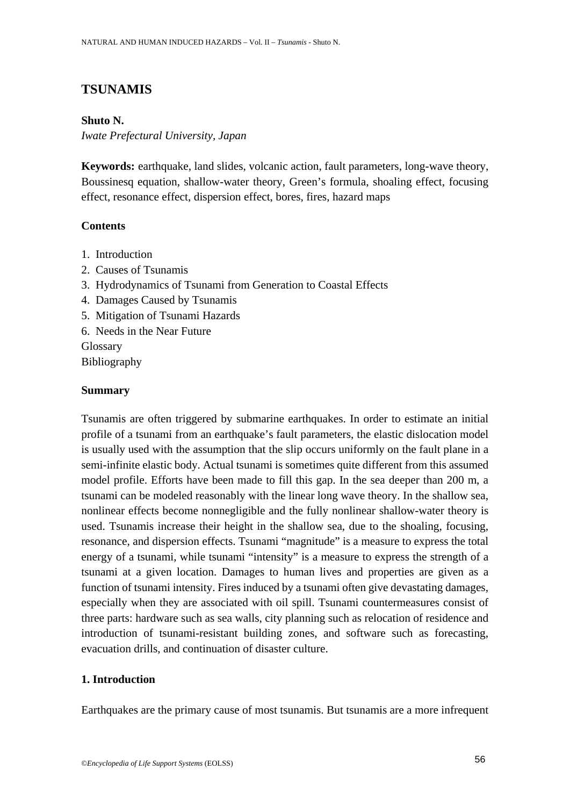# **TSUNAMIS**

## **Shuto N.**

*Iwate Prefectural University, Japan* 

**Keywords:** earthquake, land slides, volcanic action, fault parameters, long-wave theory, Boussinesq equation, shallow-water theory, Green's formula, shoaling effect, focusing effect, resonance effect, dispersion effect, bores, fires, hazard maps

# **Contents**

- 1. Introduction
- 2. Causes of Tsunamis
- 3. Hydrodynamics of Tsunami from Generation to Coastal Effects
- 4. Damages Caused by Tsunamis
- 5. Mitigation of Tsunami Hazards
- 6. Needs in the Near Future

**Glossary** Bibliography

### **Summary**

Tsunamis are often triggered by submarine earthquakes. In order to estimate an initial profile of a tsunami from an earthquake's fault parameters, the elastic dislocation model is usually used with the assumption that the slip occurs uniformly on the fault plane in a semi-infinite elastic body. Actual tsunami is sometimes quite different from this assumed model profile. Efforts have been made to fill this gap. In the sea deeper than 200 m, a tsunami can be modeled reasonably with the linear long wave theory. In the shallow sea, nonlinear effects become nonnegligible and the fully nonlinear shallow-water theory is used. Tsunamis increase their height in the shallow sea, due to the shoaling, focusing, resonance, and dispersion effects. Tsunami "magnitude" is a measure to express the total energy of a tsunami, while tsunami "intensity" is a measure to express the strength of a tsunami at a given location. Damages to human lives and properties are given as a function of tsunami intensity. Fires induced by a tsunami often give devastating damages, especially when they are associated with oil spill. Tsunami countermeasures consist of three parts: hardware such as sea walls, city planning such as relocation of residence and introduction of tsunami-resistant building zones, and software such as forecasting, evacuation drills, and continuation of disaster culture.

# **1. Introduction**

Earthquakes are the primary cause of most tsunamis. But tsunamis are a more infrequent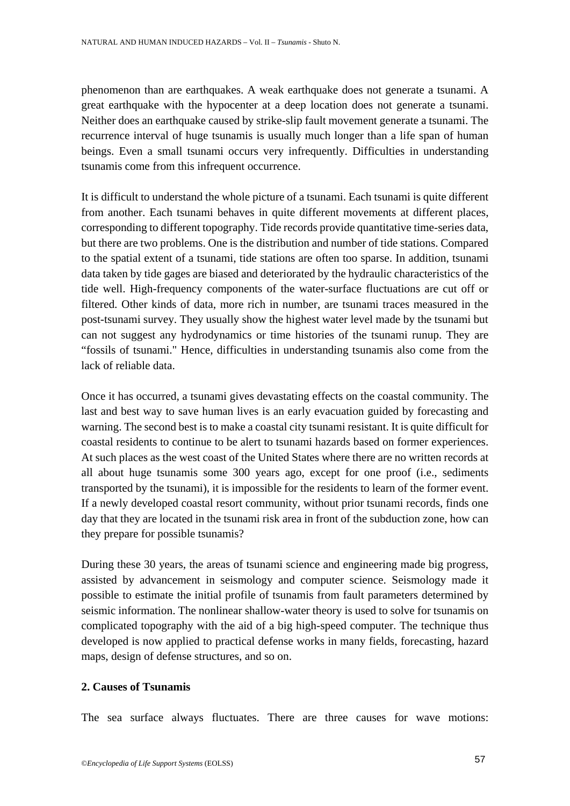phenomenon than are earthquakes. A weak earthquake does not generate a tsunami. A great earthquake with the hypocenter at a deep location does not generate a tsunami. Neither does an earthquake caused by strike-slip fault movement generate a tsunami. The recurrence interval of huge tsunamis is usually much longer than a life span of human beings. Even a small tsunami occurs very infrequently. Difficulties in understanding tsunamis come from this infrequent occurrence.

It is difficult to understand the whole picture of a tsunami. Each tsunami is quite different from another. Each tsunami behaves in quite different movements at different places, corresponding to different topography. Tide records provide quantitative time-series data, but there are two problems. One is the distribution and number of tide stations. Compared to the spatial extent of a tsunami, tide stations are often too sparse. In addition, tsunami data taken by tide gages are biased and deteriorated by the hydraulic characteristics of the tide well. High-frequency components of the water-surface fluctuations are cut off or filtered. Other kinds of data, more rich in number, are tsunami traces measured in the post-tsunami survey. They usually show the highest water level made by the tsunami but can not suggest any hydrodynamics or time histories of the tsunami runup. They are "fossils of tsunami." Hence, difficulties in understanding tsunamis also come from the lack of reliable data.

Once it has occurred, a tsunami gives devastating effects on the coastal community. The last and best way to save human lives is an early evacuation guided by forecasting and warning. The second best is to make a coastal city tsunami resistant. It is quite difficult for coastal residents to continue to be alert to tsunami hazards based on former experiences. At such places as the west coast of the United States where there are no written records at all about huge tsunamis some 300 years ago, except for one proof (i.e., sediments transported by the tsunami), it is impossible for the residents to learn of the former event. If a newly developed coastal resort community, without prior tsunami records, finds one day that they are located in the tsunami risk area in front of the subduction zone, how can they prepare for possible tsunamis?

During these 30 years, the areas of tsunami science and engineering made big progress, assisted by advancement in seismology and computer science. Seismology made it possible to estimate the initial profile of tsunamis from fault parameters determined by seismic information. The nonlinear shallow-water theory is used to solve for tsunamis on complicated topography with the aid of a big high-speed computer. The technique thus developed is now applied to practical defense works in many fields, forecasting, hazard maps, design of defense structures, and so on.

### **2. Causes of Tsunamis**

The sea surface always fluctuates. There are three causes for wave motions: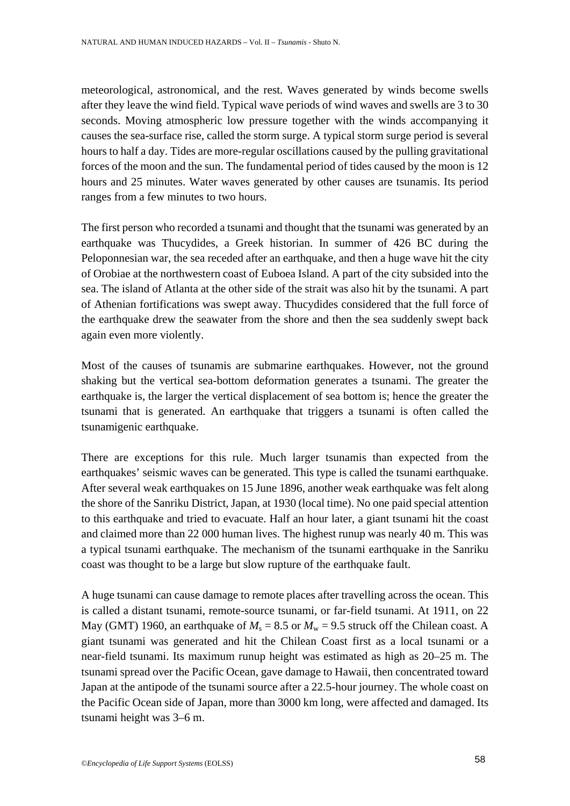meteorological, astronomical, and the rest. Waves generated by winds become swells after they leave the wind field. Typical wave periods of wind waves and swells are 3 to 30 seconds. Moving atmospheric low pressure together with the winds accompanying it causes the sea-surface rise, called the storm surge. A typical storm surge period is several hours to half a day. Tides are more-regular oscillations caused by the pulling gravitational forces of the moon and the sun. The fundamental period of tides caused by the moon is 12 hours and 25 minutes. Water waves generated by other causes are tsunamis. Its period ranges from a few minutes to two hours.

The first person who recorded a tsunami and thought that the tsunami was generated by an earthquake was Thucydides, a Greek historian. In summer of 426 BC during the Peloponnesian war, the sea receded after an earthquake, and then a huge wave hit the city of Orobiae at the northwestern coast of Euboea Island. A part of the city subsided into the sea. The island of Atlanta at the other side of the strait was also hit by the tsunami. A part of Athenian fortifications was swept away. Thucydides considered that the full force of the earthquake drew the seawater from the shore and then the sea suddenly swept back again even more violently.

Most of the causes of tsunamis are submarine earthquakes. However, not the ground shaking but the vertical sea-bottom deformation generates a tsunami. The greater the earthquake is, the larger the vertical displacement of sea bottom is; hence the greater the tsunami that is generated. An earthquake that triggers a tsunami is often called the tsunamigenic earthquake.

There are exceptions for this rule. Much larger tsunamis than expected from the earthquakes' seismic waves can be generated. This type is called the tsunami earthquake. After several weak earthquakes on 15 June 1896, another weak earthquake was felt along the shore of the Sanriku District, Japan, at 1930 (local time). No one paid special attention to this earthquake and tried to evacuate. Half an hour later, a giant tsunami hit the coast and claimed more than 22 000 human lives. The highest runup was nearly 40 m. This was a typical tsunami earthquake. The mechanism of the tsunami earthquake in the Sanriku coast was thought to be a large but slow rupture of the earthquake fault.

A huge tsunami can cause damage to remote places after travelling across the ocean. This is called a distant tsunami, remote-source tsunami, or far-field tsunami. At 1911, on 22 May (GMT) 1960, an earthquake of  $M_s = 8.5$  or  $M_w = 9.5$  struck off the Chilean coast. A giant tsunami was generated and hit the Chilean Coast first as a local tsunami or a near-field tsunami. Its maximum runup height was estimated as high as 20–25 m. The tsunami spread over the Pacific Ocean, gave damage to Hawaii, then concentrated toward Japan at the antipode of the tsunami source after a 22.5-hour journey. The whole coast on the Pacific Ocean side of Japan, more than 3000 km long, were affected and damaged. Its tsunami height was 3–6 m.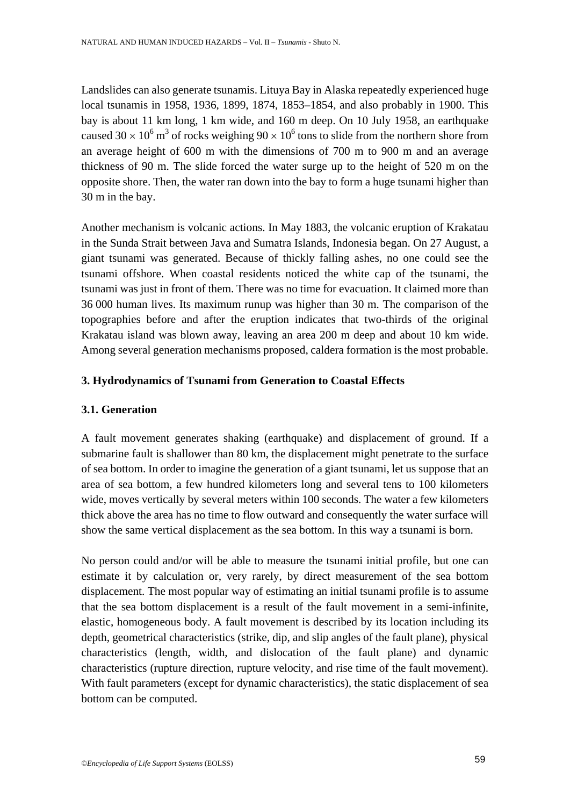Landslides can also generate tsunamis. Lituya Bay in Alaska repeatedly experienced huge local tsunamis in 1958, 1936, 1899, 1874, 1853–1854, and also probably in 1900. This bay is about 11 km long, 1 km wide, and 160 m deep. On 10 July 1958, an earthquake caused 30  $\times$  10<sup>6</sup> m<sup>3</sup> of rocks weighing 90  $\times$  10<sup>6</sup> tons to slide from the northern shore from an average height of 600 m with the dimensions of 700 m to 900 m and an average thickness of 90 m. The slide forced the water surge up to the height of 520 m on the opposite shore. Then, the water ran down into the bay to form a huge tsunami higher than 30 m in the bay.

Another mechanism is volcanic actions. In May 1883, the volcanic eruption of Krakatau in the Sunda Strait between Java and Sumatra Islands, Indonesia began. On 27 August, a giant tsunami was generated. Because of thickly falling ashes, no one could see the tsunami offshore. When coastal residents noticed the white cap of the tsunami, the tsunami was just in front of them. There was no time for evacuation. It claimed more than 36 000 human lives. Its maximum runup was higher than 30 m. The comparison of the topographies before and after the eruption indicates that two-thirds of the original Krakatau island was blown away, leaving an area 200 m deep and about 10 km wide. Among several generation mechanisms proposed, caldera formation is the most probable.

# **3. Hydrodynamics of Tsunami from Generation to Coastal Effects**

# **3.1. Generation**

A fault movement generates shaking (earthquake) and displacement of ground. If a submarine fault is shallower than 80 km, the displacement might penetrate to the surface of sea bottom. In order to imagine the generation of a giant tsunami, let us suppose that an area of sea bottom, a few hundred kilometers long and several tens to 100 kilometers wide, moves vertically by several meters within 100 seconds. The water a few kilometers thick above the area has no time to flow outward and consequently the water surface will show the same vertical displacement as the sea bottom. In this way a tsunami is born.

No person could and/or will be able to measure the tsunami initial profile, but one can estimate it by calculation or, very rarely, by direct measurement of the sea bottom displacement. The most popular way of estimating an initial tsunami profile is to assume that the sea bottom displacement is a result of the fault movement in a semi-infinite, elastic, homogeneous body. A fault movement is described by its location including its depth, geometrical characteristics (strike, dip, and slip angles of the fault plane), physical characteristics (length, width, and dislocation of the fault plane) and dynamic characteristics (rupture direction, rupture velocity, and rise time of the fault movement). With fault parameters (except for dynamic characteristics), the static displacement of sea bottom can be computed.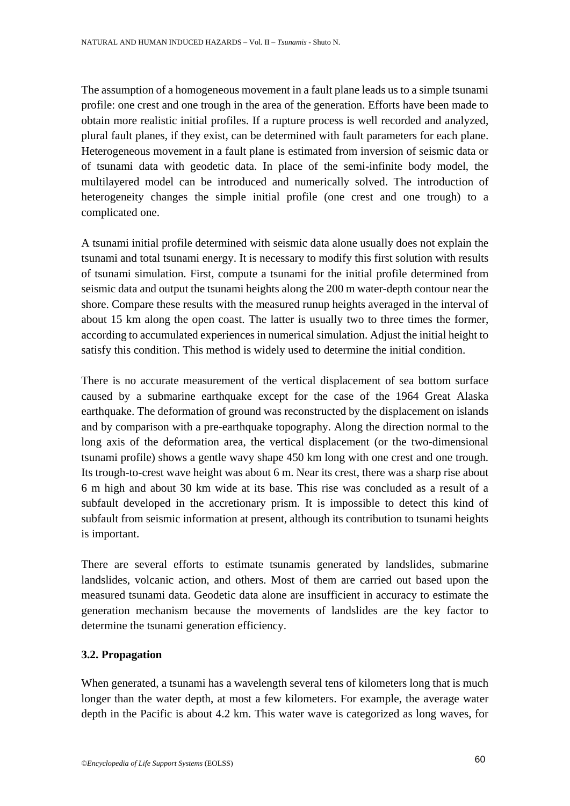The assumption of a homogeneous movement in a fault plane leads us to a simple tsunami profile: one crest and one trough in the area of the generation. Efforts have been made to obtain more realistic initial profiles. If a rupture process is well recorded and analyzed, plural fault planes, if they exist, can be determined with fault parameters for each plane. Heterogeneous movement in a fault plane is estimated from inversion of seismic data or of tsunami data with geodetic data. In place of the semi-infinite body model, the multilayered model can be introduced and numerically solved. The introduction of heterogeneity changes the simple initial profile (one crest and one trough) to a complicated one.

A tsunami initial profile determined with seismic data alone usually does not explain the tsunami and total tsunami energy. It is necessary to modify this first solution with results of tsunami simulation. First, compute a tsunami for the initial profile determined from seismic data and output the tsunami heights along the 200 m water-depth contour near the shore. Compare these results with the measured runup heights averaged in the interval of about 15 km along the open coast. The latter is usually two to three times the former, according to accumulated experiences in numerical simulation. Adjust the initial height to satisfy this condition. This method is widely used to determine the initial condition.

There is no accurate measurement of the vertical displacement of sea bottom surface caused by a submarine earthquake except for the case of the 1964 Great Alaska earthquake. The deformation of ground was reconstructed by the displacement on islands and by comparison with a pre-earthquake topography. Along the direction normal to the long axis of the deformation area, the vertical displacement (or the two-dimensional tsunami profile) shows a gentle wavy shape 450 km long with one crest and one trough. Its trough-to-crest wave height was about 6 m. Near its crest, there was a sharp rise about 6 m high and about 30 km wide at its base. This rise was concluded as a result of a subfault developed in the accretionary prism. It is impossible to detect this kind of subfault from seismic information at present, although its contribution to tsunami heights is important.

There are several efforts to estimate tsunamis generated by landslides, submarine landslides, volcanic action, and others. Most of them are carried out based upon the measured tsunami data. Geodetic data alone are insufficient in accuracy to estimate the generation mechanism because the movements of landslides are the key factor to determine the tsunami generation efficiency.

# **3.2. Propagation**

When generated, a tsunami has a wavelength several tens of kilometers long that is much longer than the water depth, at most a few kilometers. For example, the average water depth in the Pacific is about 4.2 km. This water wave is categorized as long waves, for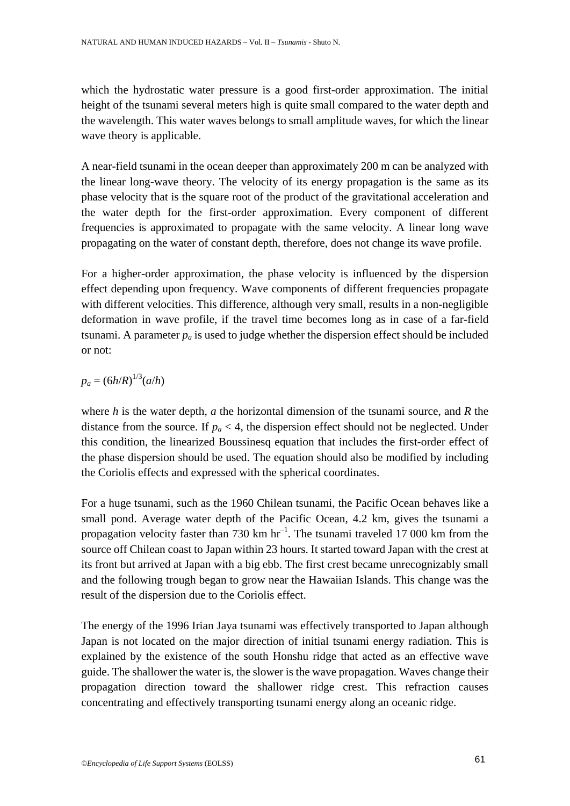which the hydrostatic water pressure is a good first-order approximation. The initial height of the tsunami several meters high is quite small compared to the water depth and the wavelength. This water waves belongs to small amplitude waves, for which the linear wave theory is applicable.

A near-field tsunami in the ocean deeper than approximately 200 m can be analyzed with the linear long-wave theory. The velocity of its energy propagation is the same as its phase velocity that is the square root of the product of the gravitational acceleration and the water depth for the first-order approximation. Every component of different frequencies is approximated to propagate with the same velocity. A linear long wave propagating on the water of constant depth, therefore, does not change its wave profile.

For a higher-order approximation, the phase velocity is influenced by the dispersion effect depending upon frequency. Wave components of different frequencies propagate with different velocities. This difference, although very small, results in a non-negligible deformation in wave profile, if the travel time becomes long as in case of a far-field tsunami. A parameter  $p_a$  is used to judge whether the dispersion effect should be included or not:

$$
p_a = (6h/R)^{1/3}(a/h)
$$

where *h* is the water depth, *a* the horizontal dimension of the tsunami source, and *R* the distance from the source. If  $p_a < 4$ , the dispersion effect should not be neglected. Under this condition, the linearized Boussinesq equation that includes the first-order effect of the phase dispersion should be used. The equation should also be modified by including the Coriolis effects and expressed with the spherical coordinates.

For a huge tsunami, such as the 1960 Chilean tsunami, the Pacific Ocean behaves like a small pond. Average water depth of the Pacific Ocean, 4.2 km, gives the tsunami a propagation velocity faster than 730 km  $hr^{-1}$ . The tsunami traveled 17 000 km from the source off Chilean coast to Japan within 23 hours. It started toward Japan with the crest at its front but arrived at Japan with a big ebb. The first crest became unrecognizably small and the following trough began to grow near the Hawaiian Islands. This change was the result of the dispersion due to the Coriolis effect.

The energy of the 1996 Irian Jaya tsunami was effectively transported to Japan although Japan is not located on the major direction of initial tsunami energy radiation. This is explained by the existence of the south Honshu ridge that acted as an effective wave guide. The shallower the water is, the slower is the wave propagation. Waves change their propagation direction toward the shallower ridge crest. This refraction causes concentrating and effectively transporting tsunami energy along an oceanic ridge.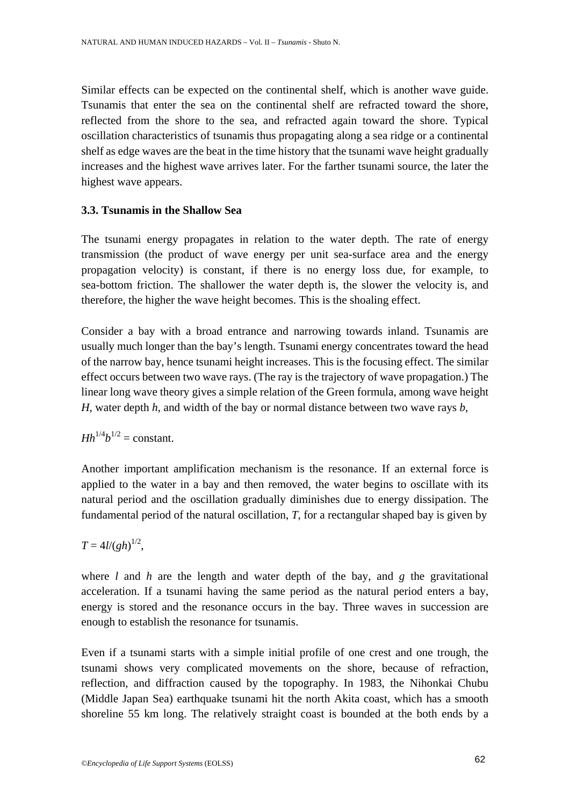Similar effects can be expected on the continental shelf, which is another wave guide. Tsunamis that enter the sea on the continental shelf are refracted toward the shore, reflected from the shore to the sea, and refracted again toward the shore. Typical oscillation characteristics of tsunamis thus propagating along a sea ridge or a continental shelf as edge waves are the beat in the time history that the tsunami wave height gradually increases and the highest wave arrives later. For the farther tsunami source, the later the highest wave appears.

# **3.3. Tsunamis in the Shallow Sea**

The tsunami energy propagates in relation to the water depth. The rate of energy transmission (the product of wave energy per unit sea-surface area and the energy propagation velocity) is constant, if there is no energy loss due, for example, to sea-bottom friction. The shallower the water depth is, the slower the velocity is, and therefore, the higher the wave height becomes. This is the shoaling effect.

Consider a bay with a broad entrance and narrowing towards inland. Tsunamis are usually much longer than the bay's length. Tsunami energy concentrates toward the head of the narrow bay, hence tsunami height increases. This is the focusing effect. The similar effect occurs between two wave rays. (The ray is the trajectory of wave propagation.) The linear long wave theory gives a simple relation of the Green formula, among wave height *H*, water depth *h*, and width of the bay or normal distance between two wave rays *b*,

*Hh*<sup>1/4</sup>*b*<sup>1/2</sup> = constant.

Another important amplification mechanism is the resonance. If an external force is applied to the water in a bay and then removed, the water begins to oscillate with its natural period and the oscillation gradually diminishes due to energy dissipation. The fundamental period of the natural oscillation, *T*, for a rectangular shaped bay is given by

 $T = 4l/(gh)^{1/2}$ ,

where *l* and *h* are the length and water depth of the bay, and *g* the gravitational acceleration. If a tsunami having the same period as the natural period enters a bay, energy is stored and the resonance occurs in the bay. Three waves in succession are enough to establish the resonance for tsunamis.

Even if a tsunami starts with a simple initial profile of one crest and one trough, the tsunami shows very complicated movements on the shore, because of refraction, reflection, and diffraction caused by the topography. In 1983, the Nihonkai Chubu (Middle Japan Sea) earthquake tsunami hit the north Akita coast, which has a smooth shoreline 55 km long. The relatively straight coast is bounded at the both ends by a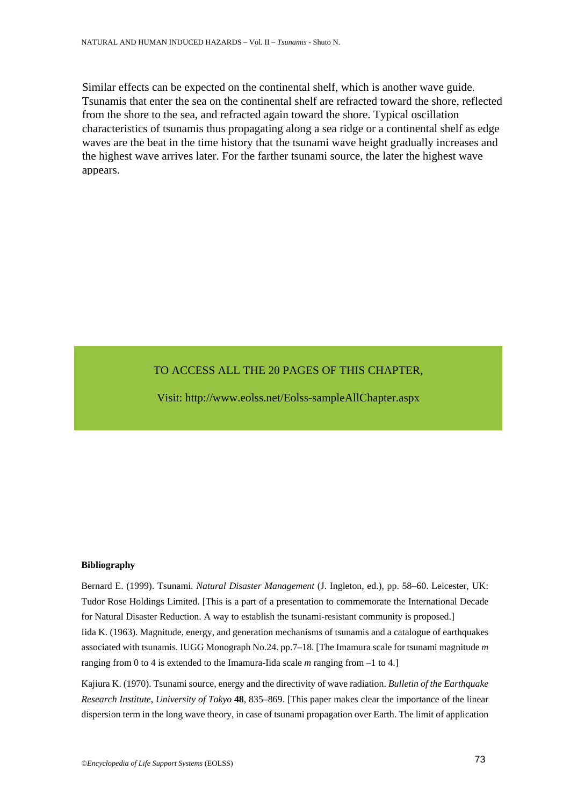Similar effects can be expected on the continental shelf, which is another wave guide. Tsunamis that enter the sea on the continental shelf are refracted toward the shore, reflected from the shore to the sea, and refracted again toward the shore. Typical oscillation characteristics of tsunamis thus propagating along a sea ridge or a continental shelf as edge waves are the beat in the time history that the tsunami wave height gradually increases and the highest wave arrives later. For the farther tsunami source, the later the highest wave appears.

# TO ACCESS ALL THE 20 PAGES OF THIS CHAPTER,

[Visit: http://www.eolss.net/Eolss-sampleAllChapter.aspx](https://www.eolss.net/ebooklib/sc_cart.aspx?File=E1-07-01-11)

#### **Bibliography**

Bernard E. (1999). Tsunami. *Natural Disaster Management* (J. Ingleton, ed.), pp. 58–60. Leicester, UK: Tudor Rose Holdings Limited. [This is a part of a presentation to commemorate the International Decade for Natural Disaster Reduction. A way to establish the tsunami-resistant community is proposed.] Iida K. (1963). Magnitude, energy, and generation mechanisms of tsunamis and a catalogue of earthquakes associated with tsunamis. IUGG Monograph No.24. pp.7–18. [The Imamura scale for tsunami magnitude *m* ranging from 0 to 4 is extended to the Imamura-Iida scale *m* ranging from –1 to 4.]

Kajiura K. (1970). Tsunami source, energy and the directivity of wave radiation. *Bulletin of the Earthquake Research Institute, University of Tokyo* **48**, 835–869. [This paper makes clear the importance of the linear dispersion term in the long wave theory, in case of tsunami propagation over Earth. The limit of application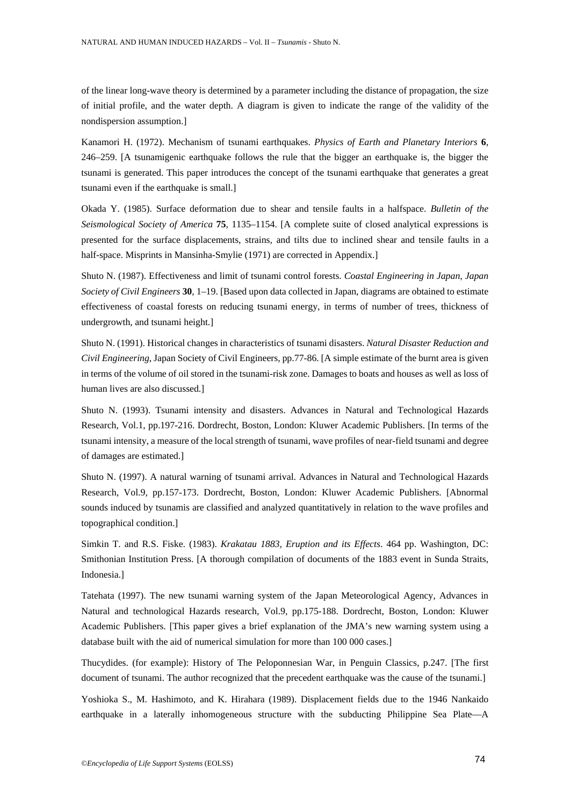of the linear long-wave theory is determined by a parameter including the distance of propagation, the size of initial profile, and the water depth. A diagram is given to indicate the range of the validity of the nondispersion assumption.]

Kanamori H. (1972). Mechanism of tsunami earthquakes. *Physics of Earth and Planetary Interiors* **6**, 246–259. [A tsunamigenic earthquake follows the rule that the bigger an earthquake is, the bigger the tsunami is generated. This paper introduces the concept of the tsunami earthquake that generates a great tsunami even if the earthquake is small.]

Okada Y. (1985). Surface deformation due to shear and tensile faults in a halfspace. *Bulletin of the Seismological Society of America* **75**, 1135–1154. [A complete suite of closed analytical expressions is presented for the surface displacements, strains, and tilts due to inclined shear and tensile faults in a half-space. Misprints in Mansinha-Smylie (1971) are corrected in Appendix.]

Shuto N. (1987). Effectiveness and limit of tsunami control forests. *Coastal Engineering in Japan, Japan Society of Civil Engineers* **30**, 1–19. [Based upon data collected in Japan, diagrams are obtained to estimate effectiveness of coastal forests on reducing tsunami energy, in terms of number of trees, thickness of undergrowth, and tsunami height.]

Shuto N. (1991). Historical changes in characteristics of tsunami disasters. *Natural Disaster Reduction and Civil Engineering*, Japan Society of Civil Engineers, pp.77-86. [A simple estimate of the burnt area is given in terms of the volume of oil stored in the tsunami-risk zone. Damages to boats and houses as well as loss of human lives are also discussed.]

Shuto N. (1993). Tsunami intensity and disasters. Advances in Natural and Technological Hazards Research, Vol.1, pp.197-216. Dordrecht, Boston, London: Kluwer Academic Publishers. [In terms of the tsunami intensity, a measure of the local strength of tsunami, wave profiles of near-field tsunami and degree of damages are estimated.]

Shuto N. (1997). A natural warning of tsunami arrival. Advances in Natural and Technological Hazards Research, Vol.9, pp.157-173. Dordrecht, Boston, London: Kluwer Academic Publishers. [Abnormal sounds induced by tsunamis are classified and analyzed quantitatively in relation to the wave profiles and topographical condition.]

Simkin T. and R.S. Fiske. (1983). *Krakatau 1883, Eruption and its Effects*. 464 pp. Washington, DC: Smithonian Institution Press. [A thorough compilation of documents of the 1883 event in Sunda Straits, Indonesia.]

Tatehata (1997). The new tsunami warning system of the Japan Meteorological Agency, Advances in Natural and technological Hazards research, Vol.9, pp.175-188. Dordrecht, Boston, London: Kluwer Academic Publishers. [This paper gives a brief explanation of the JMA's new warning system using a database built with the aid of numerical simulation for more than 100 000 cases.]

Thucydides. (for example): History of The Peloponnesian War, in Penguin Classics, p.247. [The first document of tsunami. The author recognized that the precedent earthquake was the cause of the tsunami.]

Yoshioka S., M. Hashimoto, and K. Hirahara (1989). Displacement fields due to the 1946 Nankaido earthquake in a laterally inhomogeneous structure with the subducting Philippine Sea Plate—A